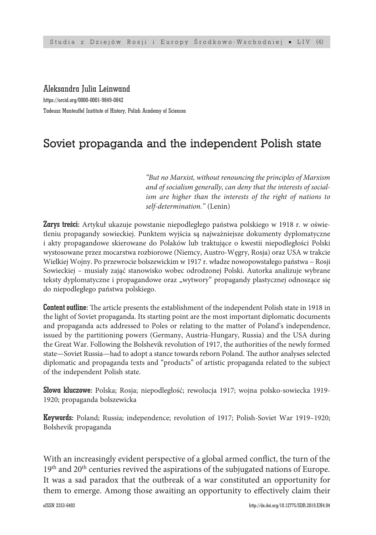### Aleksandra Julia Leinwand

https://orcid.org/0000-0001-9849-0842 Tadeusz Manteuffel Institute of History, Polish Academy of Sciences

# Soviet propaganda and the independent Polish state

*"But no Marxist, without renouncing the principles of Marxism and of socialism generally, can deny that the interests of socialism are higher than the interests of the right of nations to self-determination."* (Lenin)

Zarys treści: Artykuł ukazuje powstanie niepodległego państwa polskiego w 1918 r. w oświetleniu propagandy sowieckiej. Punktem wyjścia są najważniejsze dokumenty dyplomatyczne i akty propagandowe skierowane do Polaków lub traktujące o kwestii niepodległości Polski wystosowane przez mocarstwa rozbiorowe (Niemcy, Austro-Węgry, Rosja) oraz USA w trakcie Wielkiej Wojny. Po przewrocie bolszewickim w 1917 r. władze nowopowstałego państwa – Rosji Sowieckiej – musiały zająć stanowisko wobec odrodzonej Polski. Autorka analizuje wybrane teksty dyplomatyczne i propagandowe oraz "wytwory" propagandy plastycznej odnoszące się do niepodległego państwa polskiego.

Content outline: The article presents the establishment of the independent Polish state in 1918 in the light of Soviet propaganda. Its starting point are the most important diplomatic documents and propaganda acts addressed to Poles or relating to the matter of Poland's independence, issued by the partitioning powers (Germany, Austria-Hungary, Russia) and the USA during the Great War. Following the Bolshevik revolution of 1917, the authorities of the newly formed state—Soviet Russia—had to adopt a stance towards reborn Poland. The author analyses selected diplomatic and propaganda texts and "products" of artistic propaganda related to the subject of the independent Polish state.

Słowa kluczowe: Polska; Rosja; niepodległość; rewolucja 1917; wojna polsko-sowiecka 1919- 1920; propaganda bolszewicka

Keywords: Poland; Russia; independence; revolution of 1917; Polish-Soviet War 1919–1920; Bolshevik propaganda

With an increasingly evident perspective of a global armed conflict, the turn of the  $19^{\rm th}$  and  $20^{\rm th}$  centuries revived the aspirations of the subjugated nations of Europe. It was a sad paradox that the outbreak of a war constituted an opportunity for them to emerge. Among those awaiting an opportunity to effectively claim their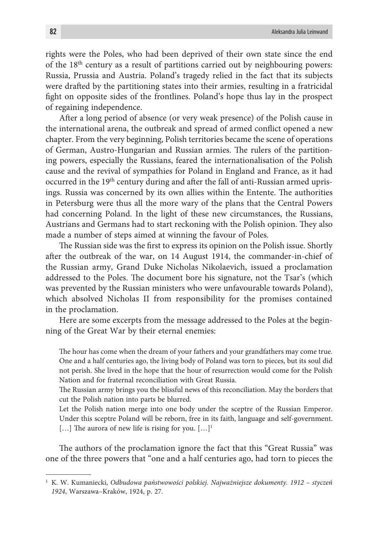rights were the Poles, who had been deprived of their own state since the end of the 18th century as a result of partitions carried out by neighbouring powers: Russia, Prussia and Austria. Poland's tragedy relied in the fact that its subjects were drafted by the partitioning states into their armies, resulting in a fratricidal fight on opposite sides of the frontlines. Poland's hope thus lay in the prospect of regaining independence.

After a long period of absence (or very weak presence) of the Polish cause in the international arena, the outbreak and spread of armed conflict opened a new chapter. From the very beginning, Polish territories became the scene of operations of German, Austro-Hungarian and Russian armies. The rulers of the partitioning powers, especially the Russians, feared the internationalisation of the Polish cause and the revival of sympathies for Poland in England and France, as it had occurred in the 19th century during and after the fall of anti-Russian armed uprisings. Russia was concerned by its own allies within the Entente. The authorities in Petersburg were thus all the more wary of the plans that the Central Powers had concerning Poland. In the light of these new circumstances, the Russians, Austrians and Germans had to start reckoning with the Polish opinion. They also made a number of steps aimed at winning the favour of Poles.

The Russian side was the first to express its opinion on the Polish issue. Shortly after the outbreak of the war, on 14 August 1914, the commander-in-chief of the Russian army, Grand Duke Nicholas Nikolaevich, issued a proclamation addressed to the Poles. The document bore his signature, not the Tsar's (which was prevented by the Russian ministers who were unfavourable towards Poland), which absolved Nicholas II from responsibility for the promises contained in the proclamation.

Here are some excerpts from the message addressed to the Poles at the beginning of the Great War by their eternal enemies:

The hour has come when the dream of your fathers and your grandfathers may come true. One and a half centuries ago, the living body of Poland was torn to pieces, but its soul did not perish. She lived in the hope that the hour of resurrection would come for the Polish Nation and for fraternal reconciliation with Great Russia.

The Russian army brings you the blissful news of this reconciliation. May the borders that cut the Polish nation into parts be blurred.

Let the Polish nation merge into one body under the sceptre of the Russian Emperor. Under this sceptre Poland will be reborn, free in its faith, language and self-government.  $[...]$  The aurora of new life is rising for you.  $[...]^1$ 

The authors of the proclamation ignore the fact that this "Great Russia" was one of the three powers that "one and a half centuries ago, had torn to pieces the

<sup>1</sup> K. W. Kumaniecki, *Odbudowa państwowości polskiej. Najważniejsze dokumenty. 1912 – styczeń 1924*, Warszawa–Kraków, 1924, p. 27.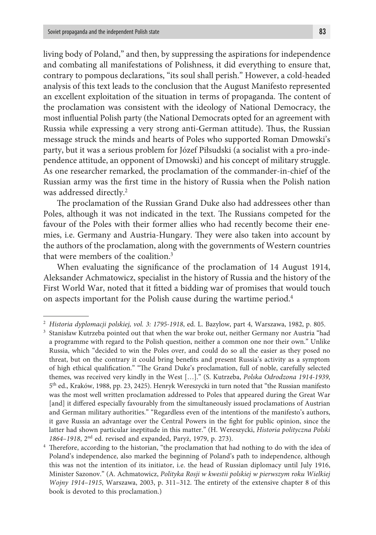living body of Poland," and then, by suppressing the aspirations for independence and combating all manifestations of Polishness, it did everything to ensure that, contrary to pompous declarations, "its soul shall perish." However, a cold-headed analysis of this text leads to the conclusion that the August Manifesto represented an excellent exploitation of the situation in terms of propaganda. The content of the proclamation was consistent with the ideology of National Democracy, the most influential Polish party (the National Democrats opted for an agreement with Russia while expressing a very strong anti-German attitude). Thus, the Russian message struck the minds and hearts of Poles who supported Roman Dmowski's party, but it was a serious problem for Józef Piłsudski (a socialist with a pro-independence attitude, an opponent of Dmowski) and his concept of military struggle. As one researcher remarked, the proclamation of the commander-in-chief of the Russian army was the first time in the history of Russia when the Polish nation was addressed directly.2

The proclamation of the Russian Grand Duke also had addressees other than Poles, although it was not indicated in the text. The Russians competed for the favour of the Poles with their former allies who had recently become their enemies, i.e. Germany and Austria-Hungary. They were also taken into account by the authors of the proclamation, along with the governments of Western countries that were members of the coalition.<sup>3</sup>

When evaluating the significance of the proclamation of 14 August 1914, Aleksander Achmatowicz, specialist in the history of Russia and the history of the First World War, noted that it fitted a bidding war of promises that would touch on aspects important for the Polish cause during the wartime period.4

<sup>2</sup> *Historia dyplomacji polskiej, vol. 3: 1795-1918*, ed. L. Bazylow, part 4, Warszawa, 1982, p. 805.

<sup>3</sup> Stanisław Kutrzeba pointed out that when the war broke out, neither Germany nor Austria "had a programme with regard to the Polish question, neither a common one nor their own." Unlike Russia, which "decided to win the Poles over, and could do so all the easier as they posed no threat, but on the contrary it could bring benefits and present Russia's activity as a symptom of high ethical qualification." "The Grand Duke's proclamation, full of noble, carefully selected themes, was received very kindly in the West […]." (S. Kutrzeba, *Polska Odrodzona 1914-1939*, 5th ed., Kraków, 1988, pp. 23, 2425). Henryk Wereszycki in turn noted that "the Russian manifesto was the most well written proclamation addressed to Poles that appeared during the Great War [and] it differed especially favourably from the simultaneously issued proclamations of Austrian and German military authorities." "Regardless even of the intentions of the manifesto's authors, it gave Russia an advantage over the Central Powers in the fight for public opinion, since the latter had shown particular ineptitude in this matter." (H. Wereszycki, *Historia polityczna Polski 1864–1918*, 2nd ed. revised and expanded, Paryż, 1979, p. 273).

<sup>4</sup> Therefore, according to the historian, "the proclamation that had nothing to do with the idea of Poland's independence, also marked the beginning of Poland's path to independence, although this was not the intention of its initiator, i.e. the head of Russian diplomacy until July 1916, Minister Sazonov." (A. Achmatowicz, *Polityka Rosji w kwestii polskiej w pierwszym roku Wielkiej Wojny 1914–1915*, Warszawa, 2003, p. 311–312. The entirety of the extensive chapter 8 of this book is devoted to this proclamation.)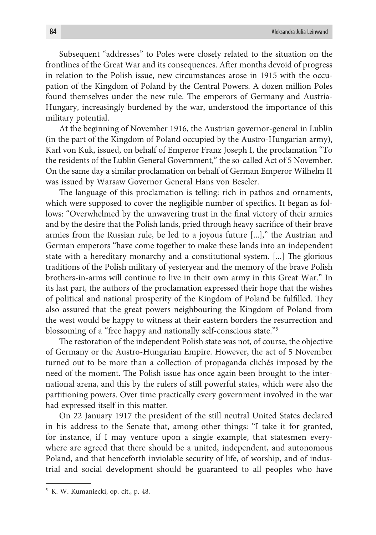Subsequent "addresses" to Poles were closely related to the situation on the frontlines of the Great War and its consequences. After months devoid of progress in relation to the Polish issue, new circumstances arose in 1915 with the occupation of the Kingdom of Poland by the Central Powers. A dozen million Poles found themselves under the new rule. The emperors of Germany and Austria-Hungary, increasingly burdened by the war, understood the importance of this military potential.

At the beginning of November 1916, the Austrian governor-general in Lublin (in the part of the Kingdom of Poland occupied by the Austro-Hungarian army), Karl von Kuk, issued, on behalf of Emperor Franz Joseph I, the proclamation "To the residents of the Lublin General Government," the so-called Act of 5 November. On the same day a similar proclamation on behalf of German Emperor Wilhelm II was issued by Warsaw Governor General Hans von Beseler.

The language of this proclamation is telling: rich in pathos and ornaments, which were supposed to cover the negligible number of specifics. It began as follows: "Overwhelmed by the unwavering trust in the final victory of their armies and by the desire that the Polish lands, pried through heavy sacrifice of their brave armies from the Russian rule, be led to a joyous future [...]," the Austrian and German emperors "have come together to make these lands into an independent state with a hereditary monarchy and a constitutional system. [...] The glorious traditions of the Polish military of yesteryear and the memory of the brave Polish brothers-in-arms will continue to live in their own army in this Great War." In its last part, the authors of the proclamation expressed their hope that the wishes of political and national prosperity of the Kingdom of Poland be fulfilled. They also assured that the great powers neighbouring the Kingdom of Poland from the west would be happy to witness at their eastern borders the resurrection and blossoming of a "free happy and nationally self-conscious state."5

The restoration of the independent Polish state was not, of course, the objective of Germany or the Austro-Hungarian Empire. However, the act of 5 November turned out to be more than a collection of propaganda clichés imposed by the need of the moment. The Polish issue has once again been brought to the international arena, and this by the rulers of still powerful states, which were also the partitioning powers. Over time practically every government involved in the war had expressed itself in this matter.

On 22 January 1917 the president of the still neutral United States declared in his address to the Senate that, among other things: "I take it for granted, for instance, if I may venture upon a single example, that statesmen everywhere are agreed that there should be a united, independent, and autonomous Poland, and that henceforth inviolable security of life, of worship, and of industrial and social development should be guaranteed to all peoples who have

<sup>5</sup> K. W. Kumaniecki, op. cit., p. 48.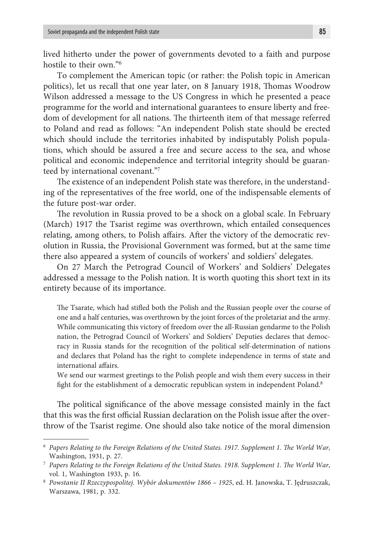lived hitherto under the power of governments devoted to a faith and purpose hostile to their own."6

To complement the American topic (or rather: the Polish topic in American politics), let us recall that one year later, on 8 January 1918, Thomas Woodrow Wilson addressed a message to the US Congress in which he presented a peace programme for the world and international guarantees to ensure liberty and freedom of development for all nations. The thirteenth item of that message referred to Poland and read as follows: "An independent Polish state should be erected which should include the territories inhabited by indisputably Polish populations, which should be assured a free and secure access to the sea, and whose political and economic independence and territorial integrity should be guaranteed by international covenant."7

The existence of an independent Polish state was therefore, in the understanding of the representatives of the free world, one of the indispensable elements of the future post-war order.

The revolution in Russia proved to be a shock on a global scale. In February (March) 1917 the Tsarist regime was overthrown, which entailed consequences relating, among others, to Polish affairs. After the victory of the democratic revolution in Russia, the Provisional Government was formed, but at the same time there also appeared a system of councils of workers' and soldiers' delegates.

On 27 March the Petrograd Council of Workers' and Soldiers' Delegates addressed a message to the Polish nation. It is worth quoting this short text in its entirety because of its importance.

The Tsarate, which had stifled both the Polish and the Russian people over the course of one and a half centuries, was overthrown by the joint forces of the proletariat and the army. While communicating this victory of freedom over the all-Russian gendarme to the Polish nation, the Petrograd Council of Workers' and Soldiers' Deputies declares that democracy in Russia stands for the recognition of the political self-determination of nations and declares that Poland has the right to complete independence in terms of state and international affairs.

We send our warmest greetings to the Polish people and wish them every success in their fight for the establishment of a democratic republican system in independent Poland.<sup>8</sup>

The political significance of the above message consisted mainly in the fact that this was the first official Russian declaration on the Polish issue after the overthrow of the Tsarist regime. One should also take notice of the moral dimension

<sup>6</sup> *Papers Relating to the Foreign Relations of the United States. 1917. Supplement 1. The World War*, Washington, 1931, p. 27.

<sup>7</sup> *Papers Relating to the Foreign Relations of the United States. 1918*. *Supplement 1. The World War*, vol. 1, Washington 1933, p. 16.

<sup>8</sup> *Powstanie II Rzeczypospolitej. Wybór dokumentów 1866 – 1925*, ed. H. Janowska, T. Jędruszczak, Warszawa, 1981, p. 332.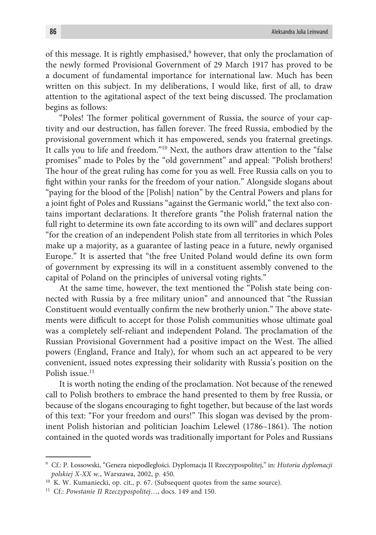of this message. It is rightly emphasised,<sup>9</sup> however, that only the proclamation of the newly formed Provisional Government of 29 March 1917 has proved to be a document of fundamental importance for international law. Much has been written on this subject. In my deliberations, I would like, first of all, to draw attention to the agitational aspect of the text being discussed. The proclamation begins as follows:

"Poles! The former political government of Russia, the source of your captivity and our destruction, has fallen forever. The freed Russia, embodied by the provisional government which it has empowered, sends you fraternal greetings. It calls you to life and freedom."10 Next, the authors draw attention to the "false promises" made to Poles by the "old government" and appeal: "Polish brothers! The hour of the great ruling has come for you as well. Free Russia calls on you to fight within your ranks for the freedom of your nation." Alongside slogans about "paying for the blood of the [Polish] nation" by the Central Powers and plans for a joint fight of Poles and Russians "against the Germanic world," the text also contains important declarations. It therefore grants "the Polish fraternal nation the full right to determine its own fate according to its own will" and declares support "for the creation of an independent Polish state from all territories in which Poles make up a majority, as a guarantee of lasting peace in a future, newly organised Europe." It is asserted that "the free United Poland would define its own form of government by expressing its will in a constituent assembly convened to the capital of Poland on the principles of universal voting rights."

At the same time, however, the text mentioned the "Polish state being connected with Russia by a free military union" and announced that "the Russian Constituent would eventually confirm the new brotherly union." The above statements were difficult to accept for those Polish communities whose ultimate goal was a completely self-reliant and independent Poland. The proclamation of the Russian Provisional Government had a positive impact on the West. The allied powers (England, France and Italy), for whom such an act appeared to be very convenient, issued notes expressing their solidarity with Russia's position on the Polish issue.<sup>11</sup>

It is worth noting the ending of the proclamation. Not because of the renewed call to Polish brothers to embrace the hand presented to them by free Russia, or because of the slogans encouraging to fight together, but because of the last words of this text: "For your freedom and ours!" This slogan was devised by the prominent Polish historian and politician Joachim Lelewel (1786–1861). The notion contained in the quoted words was traditionally important for Poles and Russians

<sup>9</sup> Cf.: P. Łossowski, "Geneza niepodległości. Dyplomacja II Rzeczypospolitej," in: *Historia dyplomacji polskiej X-XX w.*, Warszawa, 2002, p. 450.<br><sup>10</sup> K. W. Kumaniecki, op. cit., p. 67. (Subsequent quotes from the same source).

<sup>11</sup> Cf.: *Powstanie II Rzeczypospolitej*…, docs. 149 and 150.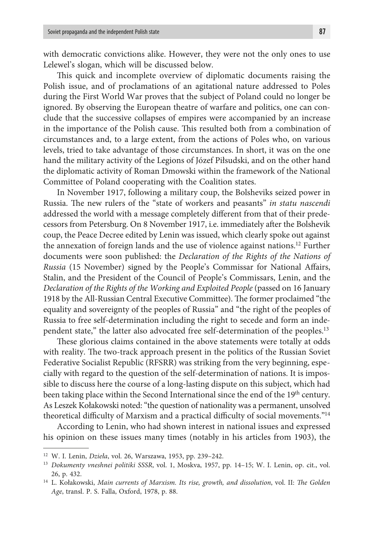with democratic convictions alike. However, they were not the only ones to use Lelewel's slogan, which will be discussed below.

This quick and incomplete overview of diplomatic documents raising the Polish issue, and of proclamations of an agitational nature addressed to Poles during the First World War proves that the subject of Poland could no longer be ignored. By observing the European theatre of warfare and politics, one can conclude that the successive collapses of empires were accompanied by an increase in the importance of the Polish cause. This resulted both from a combination of circumstances and, to a large extent, from the actions of Poles who, on various levels, tried to take advantage of those circumstances. In short, it was on the one hand the military activity of the Legions of Józef Piłsudski, and on the other hand the diplomatic activity of Roman Dmowski within the framework of the National Committee of Poland cooperating with the Coalition states.

In November 1917, following a military coup, the Bolsheviks seized power in Russia. The new rulers of the "state of workers and peasants" *in statu nascendi* addressed the world with a message completely different from that of their predecessors from Petersburg. On 8 November 1917, i.e. immediately after the Bolshevik coup, the Peace Decree edited by Lenin was issued, which clearly spoke out against the annexation of foreign lands and the use of violence against nations.12 Further documents were soon published: the *Declaration of the Rights of the Nations of Russia* (15 November) signed by the People's Commissar for National Affairs, Stalin, and the President of the Council of People's Commissars, Lenin, and the *Declaration of the Rights of the Working and Exploited People* (passed on 16 January 1918 by the All-Russian Central Executive Committee). The former proclaimed "the equality and sovereignty of the peoples of Russia" and "the right of the peoples of Russia to free self-determination including the right to secede and form an independent state," the latter also advocated free self-determination of the peoples.<sup>13</sup>

These glorious claims contained in the above statements were totally at odds with reality. The two-track approach present in the politics of the Russian Soviet Federative Socialist Republic (RFSRR) was striking from the very beginning, especially with regard to the question of the self-determination of nations. It is impossible to discuss here the course of a long-lasting dispute on this subject, which had been taking place within the Second International since the end of the 19<sup>th</sup> century. As Leszek Kołakowski noted: "the question of nationality was a permanent, unsolved theoretical difficulty of Marxism and a practical difficulty of social movements."14

According to Lenin, who had shown interest in national issues and expressed his opinion on these issues many times (notably in his articles from 1903), the

<sup>12</sup> W. I. Lenin, *Dzieła*, vol. 26, Warszawa, 1953, pp. 239–242.

<sup>13</sup> *Dokumenty vneshnei politiki SSSR*, vol. 1, Moskva, 1957, pp. 14–15; W. I. Lenin, op. cit., vol. 26, p. 432. 14 L. Kołakowski, *Main currents of Marxism. Its rise, growth, and dissolution*, vol. II: *The Golden* 

*Age*, transl. P. S. Falla, Oxford, 1978, p. 88.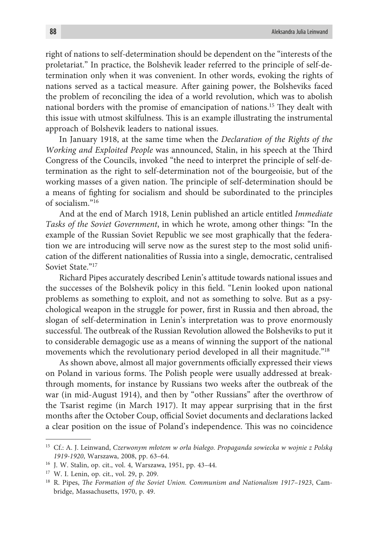right of nations to self-determination should be dependent on the "interests of the proletariat." In practice, the Bolshevik leader referred to the principle of self-determination only when it was convenient. In other words, evoking the rights of nations served as a tactical measure. After gaining power, the Bolsheviks faced the problem of reconciling the idea of a world revolution, which was to abolish national borders with the promise of emancipation of nations.15 They dealt with this issue with utmost skilfulness. This is an example illustrating the instrumental approach of Bolshevik leaders to national issues.

In January 1918, at the same time when the *Declaration of the Rights of the Working and Exploited People* was announced, Stalin, in his speech at the Third Congress of the Councils, invoked "the need to interpret the principle of self-determination as the right to self-determination not of the bourgeoisie, but of the working masses of a given nation. The principle of self-determination should be a means of fighting for socialism and should be subordinated to the principles of socialism."16

And at the end of March 1918, Lenin published an article entitled *Immediate Tasks of the Soviet Government*, in which he wrote, among other things: "In the example of the Russian Soviet Republic we see most graphically that the federation we are introducing will serve now as the surest step to the most solid unification of the different nationalities of Russia into a single, democratic, centralised Soviet State."<sup>17</sup>

Richard Pipes accurately described Lenin's attitude towards national issues and the successes of the Bolshevik policy in this field. "Lenin looked upon national problems as something to exploit, and not as something to solve. But as a psychological weapon in the struggle for power, first in Russia and then abroad, the slogan of self-determination in Lenin's interpretation was to prove enormously successful. The outbreak of the Russian Revolution allowed the Bolsheviks to put it to considerable demagogic use as a means of winning the support of the national movements which the revolutionary period developed in all their magnitude.<sup>"18</sup>

As shown above, almost all major governments officially expressed their views on Poland in various forms. The Polish people were usually addressed at breakthrough moments, for instance by Russians two weeks after the outbreak of the war (in mid-August 1914), and then by "other Russians" after the overthrow of the Tsarist regime (in March 1917). It may appear surprising that in the first months after the October Coup, official Soviet documents and declarations lacked a clear position on the issue of Poland's independence. This was no coincidence

<sup>15</sup> Cf.: A. J. Leinwand, *Czerwonym młotem w orła białego. Propaganda sowiecka w wojnie z Polską 1919-1920*, Warszawa, 2008, pp. 63–64.

<sup>16</sup> J. W. Stalin, op. cit., vol. 4, Warszawa, 1951, pp. 43–44.

<sup>&</sup>lt;sup>17</sup> W. I. Lenin, op. cit., vol. 29, p. 209.<br><sup>18</sup> R. Pipes, *The Formation of the Soviet Union. Communism and Nationalism 1917–1923*, Cambridge, Massachusetts, 1970, p. 49.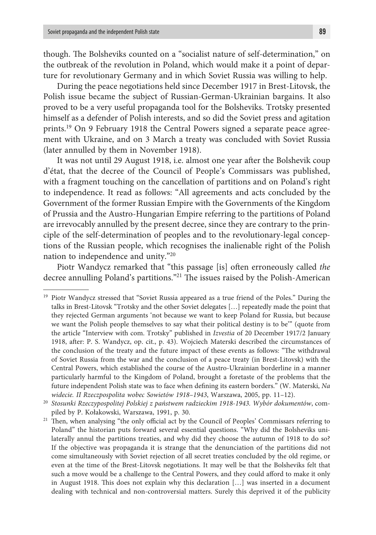though. The Bolsheviks counted on a "socialist nature of self-determination," on the outbreak of the revolution in Poland, which would make it a point of departure for revolutionary Germany and in which Soviet Russia was willing to help.

During the peace negotiations held since December 1917 in Brest-Litovsk, the Polish issue became the subject of Russian-German-Ukrainian bargains. It also proved to be a very useful propaganda tool for the Bolsheviks. Trotsky presented himself as a defender of Polish interests, and so did the Soviet press and agitation prints.19 On 9 February 1918 the Central Powers signed a separate peace agreement with Ukraine, and on 3 March a treaty was concluded with Soviet Russia (later annulled by them in November 1918).

It was not until 29 August 1918, i.e. almost one year after the Bolshevik coup d'état, that the decree of the Council of People's Commissars was published, with a fragment touching on the cancellation of partitions and on Poland's right to independence. It read as follows: "All agreements and acts concluded by the Government of the former Russian Empire with the Governments of the Kingdom of Prussia and the Austro-Hungarian Empire referring to the partitions of Poland are irrevocably annulled by the present decree, since they are contrary to the principle of the self-determination of peoples and to the revolutionary-legal conceptions of the Russian people, which recognises the inalienable right of the Polish nation to independence and unity."20

Piotr Wandycz remarked that "this passage [is] often erroneously called *the* decree annulling Poland's partitions."21 The issues raised by the Polish-American

<sup>&</sup>lt;sup>19</sup> Piotr Wandycz stressed that "Soviet Russia appeared as a true friend of the Poles." During the talks in Brest-Litovsk "Trotsky and the other Soviet delegates […] repeatedly made the point that they rejected German arguments 'not because we want to keep Poland for Russia, but because we want the Polish people themselves to say what their political destiny is to be'" (quote from the article "Interview with com. Trotsky" published in *Izvestia* of 20 December 1917/2 January 1918, after: P. S. Wandycz, op. cit., p. 43). Wojciech Materski described the circumstances of the conclusion of the treaty and the future impact of these events as follows: "The withdrawal of Soviet Russia from the war and the conclusion of a peace treaty (in Brest-Litovsk) with the Central Powers, which established the course of the Austro-Ukrainian borderline in a manner particularly harmful to the Kingdom of Poland, brought a foretaste of the problems that the future independent Polish state was to face when defining its eastern borders." (W. Materski, *Na widecie. II Rzeczpospolita wobec Sowietów 1918–1943*, Warszawa, 2005, pp. 11–12). 20 *Stosunki Rzeczypospolitej Polskiej z państwem radzieckim 1918-1943. Wybór dokumentów*, com-

piled by P. Kołakowski, Warszawa, 1991, p. 30. 21 Then, when analysing "the only official act by the Council of Peoples' Commissars referring to

Poland" the historian puts forward several essential questions. "Why did the Bolsheviks unilaterally annul the partitions treaties, and why did they choose the autumn of 1918 to do so? If the objective was propaganda it is strange that the denunciation of the partitions did not come simultaneously with Soviet rejection of all secret treaties concluded by the old regime, or even at the time of the Brest-Litovsk negotiations. It may well be that the Bolsheviks felt that such a move would be a challenge to the Central Powers, and they could afford to make it only in August 1918. This does not explain why this declaration […] was inserted in a document dealing with technical and non-controversial matters. Surely this deprived it of the publicity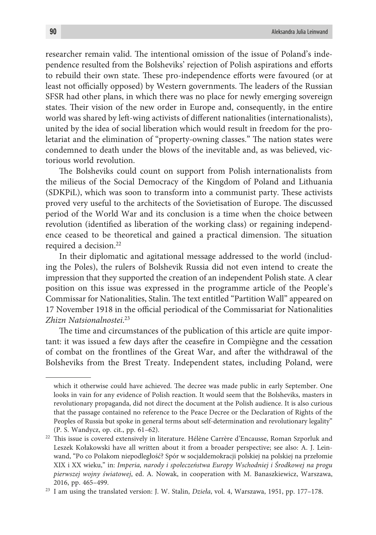researcher remain valid. The intentional omission of the issue of Poland's independence resulted from the Bolsheviks' rejection of Polish aspirations and efforts to rebuild their own state. These pro-independence efforts were favoured (or at least not officially opposed) by Western governments. The leaders of the Russian SFSR had other plans, in which there was no place for newly emerging sovereign states. Their vision of the new order in Europe and, consequently, in the entire world was shared by left-wing activists of different nationalities (internationalists), united by the idea of social liberation which would result in freedom for the proletariat and the elimination of "property-owning classes." The nation states were condemned to death under the blows of the inevitable and, as was believed, victorious world revolution.

The Bolsheviks could count on support from Polish internationalists from the milieus of the Social Democracy of the Kingdom of Poland and Lithuania (SDKPiL), which was soon to transform into a communist party. These activists proved very useful to the architects of the Sovietisation of Europe. The discussed period of the World War and its conclusion is a time when the choice between revolution (identified as liberation of the working class) or regaining independence ceased to be theoretical and gained a practical dimension. The situation required a decision.<sup>22</sup>

In their diplomatic and agitational message addressed to the world (including the Poles), the rulers of Bolshevik Russia did not even intend to create the impression that they supported the creation of an independent Polish state. A clear position on this issue was expressed in the programme article of the People's Commissar for Nationalities, Stalin. The text entitled "Partition Wall" appeared on 17 November 1918 in the official periodical of the Commissariat for Nationalities *Zhizn Natsionalnostei*. 23

The time and circumstances of the publication of this article are quite important: it was issued a few days after the ceasefire in Compiègne and the cessation of combat on the frontlines of the Great War, and after the withdrawal of the Bolsheviks from the Brest Treaty. Independent states, including Poland, were

which it otherwise could have achieved. The decree was made public in early September. One looks in vain for any evidence of Polish reaction. It would seem that the Bolsheviks, masters in revolutionary propaganda, did not direct the document at the Polish audience. It is also curious that the passage contained no reference to the Peace Decree or the Declaration of Rights of the Peoples of Russia but spoke in general terms about self-determination and revolutionary legality" (P. S. Wandycz, op. cit., pp. 61–62).

<sup>22</sup> This issue is covered extensively in literature. Hélène Carrère d'Encausse, Roman Szporluk and Leszek Kołakowski have all written about it from a broader perspective; see also: A. J. Leinwand, "Po co Polakom niepodległość? Spór w socjaldemokracji polskiej na polskiej na przełomie XIX i XX wieku," in: *Imperia, narody i społeczeństwa Europy Wschodniej i Środkowej na progu pierwszej wojny światowej*, ed. A. Nowak, in cooperation with M. Banaszkiewicz, Warszawa, 2016, pp. 465–499. 23 I am using the translated version: J. W. Stalin, *Dzieła*, vol. 4, Warszawa, 1951, pp. 177–178.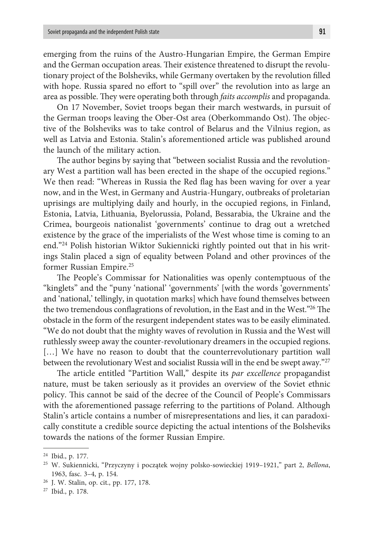emerging from the ruins of the Austro-Hungarian Empire, the German Empire and the German occupation areas. Their existence threatened to disrupt the revolutionary project of the Bolsheviks, while Germany overtaken by the revolution filled with hope. Russia spared no effort to "spill over" the revolution into as large an area as possible. They were operating both through *faits accomplis* and propaganda.

On 17 November, Soviet troops began their march westwards, in pursuit of the German troops leaving the Ober-Ost area (Oberkommando Ost). The objective of the Bolsheviks was to take control of Belarus and the Vilnius region, as well as Latvia and Estonia. Stalin's aforementioned article was published around the launch of the military action.

The author begins by saying that "between socialist Russia and the revolutionary West a partition wall has been erected in the shape of the occupied regions." We then read: "Whereas in Russia the Red flag has been waving for over a year now, and in the West, in Germany and Austria-Hungary, outbreaks of proletarian uprisings are multiplying daily and hourly, in the occupied regions, in Finland, Estonia, Latvia, Lithuania, Byelorussia, Poland, Bessarabia, the Ukraine and the Crimea, bourgeois nationalist 'governments' continue to drag out a wretched existence by the grace of the imperialists of the West whose time is coming to an end."24 Polish historian Wiktor Sukiennicki rightly pointed out that in his writings Stalin placed a sign of equality between Poland and other provinces of the former Russian Empire.25

The People's Commissar for Nationalities was openly contemptuous of the "kinglets" and the "puny 'national' 'governments' [with the words 'governments' and 'national,' tellingly, in quotation marks] which have found themselves between the two tremendous conflagrations of revolution, in the East and in the West."26 The obstacle in the form of the resurgent independent states was to be easily eliminated. "We do not doubt that the mighty waves of revolution in Russia and the West will ruthlessly sweep away the counter-revolutionary dreamers in the occupied regions. [...] We have no reason to doubt that the counterrevolutionary partition wall between the revolutionary West and socialist Russia will in the end be swept away."27

The article entitled "Partition Wall," despite its *par excellence* propagandist nature, must be taken seriously as it provides an overview of the Soviet ethnic policy. This cannot be said of the decree of the Council of People's Commissars with the aforementioned passage referring to the partitions of Poland. Although Stalin's article contains a number of misrepresentations and lies, it can paradoxically constitute a credible source depicting the actual intentions of the Bolsheviks towards the nations of the former Russian Empire.

<sup>24</sup> Ibid., p. 177.

<sup>25</sup> W. Sukiennicki, "Przyczyny i początek wojny polsko-sowieckiej 1919–1921," part 2, *Bellona*, 1963, fasc. 3–4, p. 154. 26 J. W. Stalin, op. cit., pp. 177, 178.

<sup>27</sup> Ibid., p. 178.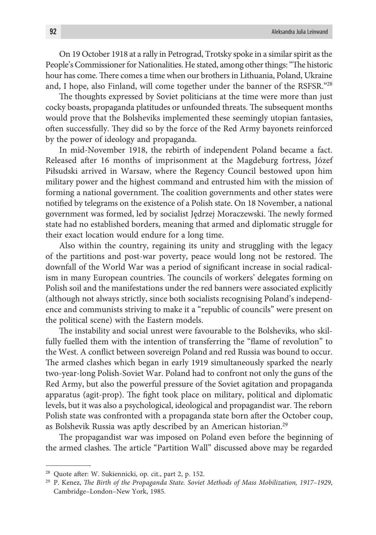On 19 October 1918 at a rally in Petrograd, Trotsky spoke in a similar spirit as the People's Commissioner for Nationalities. He stated, among other things: "The historic hour has come. There comes a time when our brothers in Lithuania, Poland, Ukraine and, I hope, also Finland, will come together under the banner of the RSFSR."28

The thoughts expressed by Soviet politicians at the time were more than just cocky boasts, propaganda platitudes or unfounded threats. The subsequent months would prove that the Bolsheviks implemented these seemingly utopian fantasies, often successfully. They did so by the force of the Red Army bayonets reinforced by the power of ideology and propaganda.

In mid-November 1918, the rebirth of independent Poland became a fact. Released after 16 months of imprisonment at the Magdeburg fortress, Józef Piłsudski arrived in Warsaw, where the Regency Council bestowed upon him military power and the highest command and entrusted him with the mission of forming a national government. The coalition governments and other states were notified by telegrams on the existence of a Polish state. On 18 November, a national government was formed, led by socialist Jędrzej Moraczewski. The newly formed state had no established borders, meaning that armed and diplomatic struggle for their exact location would endure for a long time.

Also within the country, regaining its unity and struggling with the legacy of the partitions and post-war poverty, peace would long not be restored. The downfall of the World War was a period of significant increase in social radicalism in many European countries. The councils of workers' delegates forming on Polish soil and the manifestations under the red banners were associated explicitly (although not always strictly, since both socialists recognising Poland's independence and communists striving to make it a "republic of councils" were present on the political scene) with the Eastern models.

The instability and social unrest were favourable to the Bolsheviks, who skilfully fuelled them with the intention of transferring the "flame of revolution" to the West. A conflict between sovereign Poland and red Russia was bound to occur. The armed clashes which began in early 1919 simultaneously sparked the nearly two-year-long Polish-Soviet War. Poland had to confront not only the guns of the Red Army, but also the powerful pressure of the Soviet agitation and propaganda apparatus (agit-prop). The fight took place on military, political and diplomatic levels, but it was also a psychological, ideological and propagandist war. The reborn Polish state was confronted with a propaganda state born after the October coup, as Bolshevik Russia was aptly described by an American historian.29

The propagandist war was imposed on Poland even before the beginning of the armed clashes. The article "Partition Wall" discussed above may be regarded

<sup>28</sup> Quote after: W. Sukiennicki, op. cit., part 2, p. 152.

<sup>29</sup> P. Kenez, *The Birth of the Propaganda State. Soviet Methods of Mass Mobilization, 1917–1929*, Cambridge–London–New York, 1985.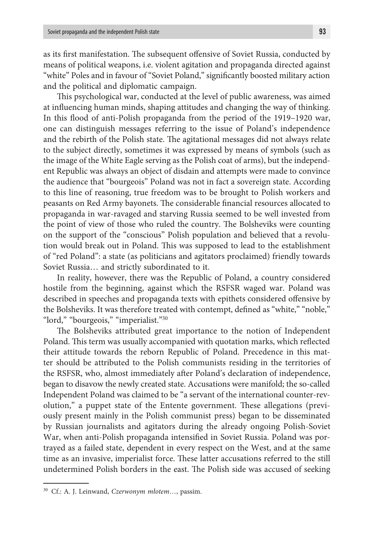as its first manifestation. The subsequent offensive of Soviet Russia, conducted by means of political weapons, i.e. violent agitation and propaganda directed against "white" Poles and in favour of "Soviet Poland," significantly boosted military action and the political and diplomatic campaign.

This psychological war, conducted at the level of public awareness, was aimed at influencing human minds, shaping attitudes and changing the way of thinking. In this flood of anti-Polish propaganda from the period of the 1919–1920 war, one can distinguish messages referring to the issue of Poland's independence and the rebirth of the Polish state. The agitational messages did not always relate to the subject directly, sometimes it was expressed by means of symbols (such as the image of the White Eagle serving as the Polish coat of arms), but the independent Republic was always an object of disdain and attempts were made to convince the audience that "bourgeois" Poland was not in fact a sovereign state. According to this line of reasoning, true freedom was to be brought to Polish workers and peasants on Red Army bayonets. The considerable financial resources allocated to propaganda in war-ravaged and starving Russia seemed to be well invested from the point of view of those who ruled the country. The Bolsheviks were counting on the support of the "conscious" Polish population and believed that a revolution would break out in Poland. This was supposed to lead to the establishment of "red Poland": a state (as politicians and agitators proclaimed) friendly towards Soviet Russia… and strictly subordinated to it.

In reality, however, there was the Republic of Poland, a country considered hostile from the beginning, against which the RSFSR waged war. Poland was described in speeches and propaganda texts with epithets considered offensive by the Bolsheviks. It was therefore treated with contempt, defined as "white," "noble," "lord," "bourgeois," "imperialist."30

The Bolsheviks attributed great importance to the notion of Independent Poland. This term was usually accompanied with quotation marks, which reflected their attitude towards the reborn Republic of Poland. Precedence in this matter should be attributed to the Polish communists residing in the territories of the RSFSR, who, almost immediately after Poland's declaration of independence, began to disavow the newly created state. Accusations were manifold; the so-called Independent Poland was claimed to be "a servant of the international counter-revolution," a puppet state of the Entente government. These allegations (previously present mainly in the Polish communist press) began to be disseminated by Russian journalists and agitators during the already ongoing Polish-Soviet War, when anti-Polish propaganda intensified in Soviet Russia. Poland was portrayed as a failed state, dependent in every respect on the West, and at the same time as an invasive, imperialist force. These latter accusations referred to the still undetermined Polish borders in the east. The Polish side was accused of seeking

<sup>30</sup> Cf.: A. J. Leinwand, *Czerwonym młotem*…, passim.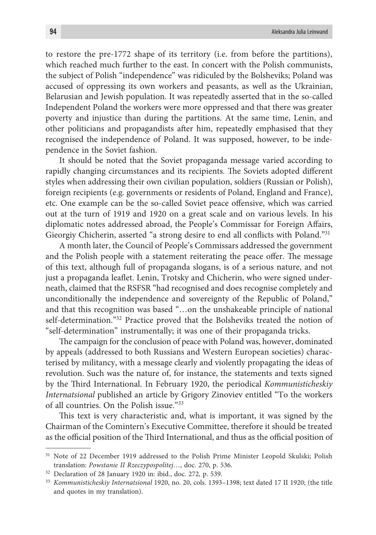to restore the pre-1772 shape of its territory (i.e. from before the partitions), which reached much further to the east. In concert with the Polish communists, the subject of Polish "independence" was ridiculed by the Bolsheviks; Poland was accused of oppressing its own workers and peasants, as well as the Ukrainian, Belarusian and Jewish population. It was repeatedly asserted that in the so-called Independent Poland the workers were more oppressed and that there was greater poverty and injustice than during the partitions. At the same time, Lenin, and other politicians and propagandists after him, repeatedly emphasised that they recognised the independence of Poland. It was supposed, however, to be independence in the Soviet fashion.

It should be noted that the Soviet propaganda message varied according to rapidly changing circumstances and its recipients. The Soviets adopted different styles when addressing their own civilian population, soldiers (Russian or Polish), foreign recipients (e.g. governments or residents of Poland, England and France), etc. One example can be the so-called Soviet peace offensive, which was carried out at the turn of 1919 and 1920 on a great scale and on various levels. In his diplomatic notes addressed abroad, the People's Commissar for Foreign Affairs, Gieorgiy Chicherin, asserted "a strong desire to end all conflicts with Poland."31

A month later, the Council of People's Commissars addressed the government and the Polish people with a statement reiterating the peace offer. The message of this text, although full of propaganda slogans, is of a serious nature, and not just a propaganda leaflet. Lenin, Trotsky and Chicherin, who were signed underneath, claimed that the RSFSR "had recognised and does recognise completely and unconditionally the independence and sovereignty of the Republic of Poland," and that this recognition was based "…on the unshakeable principle of national self-determination."32 Practice proved that the Bolsheviks treated the notion of "self-determination" instrumentally; it was one of their propaganda tricks.

The campaign for the conclusion of peace with Poland was, however, dominated by appeals (addressed to both Russians and Western European societies) characterised by militancy, with a message clearly and violently propagating the ideas of revolution. Such was the nature of, for instance, the statements and texts signed by the Third International. In February 1920, the periodical *Kommunisticheskiy Internatsional* published an article by Grigory Zinoviev entitled "To the workers of all countries. On the Polish issue."*<sup>33</sup>*

This text is very characteristic and, what is important, it was signed by the Chairman of the Comintern's Executive Committee, therefore it should be treated as the official position of the Third International, and thus as the official position of

<sup>&</sup>lt;sup>31</sup> Note of 22 December 1919 addressed to the Polish Prime Minister Leopold Skulski; Polish translation: *Powstanie II Rzeczypospolitej*…, doc. 270, p. 536.

<sup>32</sup> Declaration of 28 January 1920 in: ibid., doc. 272, p. 539.

<sup>33</sup> *Kommunisticheskiy Internatsional* 1920, no. 20, cols. 1393–1398; text dated 17 II 1920; (the title and quotes in my translation).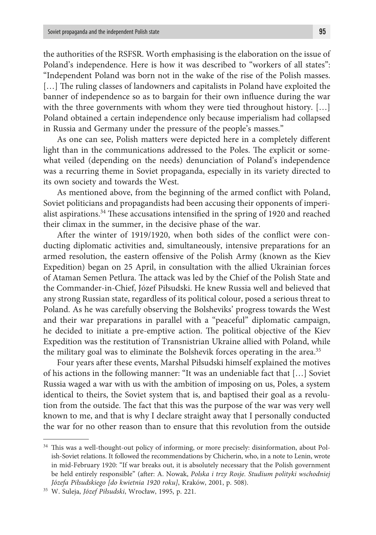the authorities of the RSFSR. Worth emphasising is the elaboration on the issue of Poland's independence. Here is how it was described to "workers of all states": "Independent Poland was born not in the wake of the rise of the Polish masses. [...] The ruling classes of landowners and capitalists in Poland have exploited the banner of independence so as to bargain for their own influence during the war with the three governments with whom they were tied throughout history. [...] Poland obtained a certain independence only because imperialism had collapsed in Russia and Germany under the pressure of the people's masses."

As one can see, Polish matters were depicted here in a completely different light than in the communications addressed to the Poles. The explicit or somewhat veiled (depending on the needs) denunciation of Poland's independence was a recurring theme in Soviet propaganda, especially in its variety directed to its own society and towards the West.

As mentioned above, from the beginning of the armed conflict with Poland, Soviet politicians and propagandists had been accusing their opponents of imperialist aspirations.34 These accusations intensified in the spring of 1920 and reached their climax in the summer, in the decisive phase of the war.

After the winter of 1919/1920, when both sides of the conflict were conducting diplomatic activities and, simultaneously, intensive preparations for an armed resolution, the eastern offensive of the Polish Army (known as the Kiev Expedition) began on 25 April, in consultation with the allied Ukrainian forces of Ataman Semen Petlura. The attack was led by the Chief of the Polish State and the Commander-in-Chief, Józef Piłsudski. He knew Russia well and believed that any strong Russian state, regardless of its political colour, posed a serious threat to Poland. As he was carefully observing the Bolsheviks' progress towards the West and their war preparations in parallel with a "peaceful" diplomatic campaign, he decided to initiate a pre-emptive action. The political objective of the Kiev Expedition was the restitution of Transnistrian Ukraine allied with Poland, while the military goal was to eliminate the Bolshevik forces operating in the area.<sup>35</sup>

Four years after these events, Marshal Piłsudski himself explained the motives of his actions in the following manner: "It was an undeniable fact that […] Soviet Russia waged a war with us with the ambition of imposing on us, Poles, a system identical to theirs, the Soviet system that is, and baptised their goal as a revolution from the outside. The fact that this was the purpose of the war was very well known to me, and that is why I declare straight away that I personally conducted the war for no other reason than to ensure that this revolution from the outside

<sup>&</sup>lt;sup>34</sup> This was a well-thought-out policy of informing, or more precisely: disinformation, about Polish-Soviet relations. It followed the recommendations by Chicherin, who, in a note to Lenin, wrote in mid-February 1920: "If war breaks out, it is absolutely necessary that the Polish government be held entirely responsible" (after: A. Nowak, *Polska i trzy Rosje. Studium polityki wschodniej Józefa Piłsudskiego [do kwietnia 1920 roku]*, Kraków, 2001, p. 508).

<sup>35</sup> W. Suleja, *Józef Piłsudski*, Wrocław, 1995, p. 221.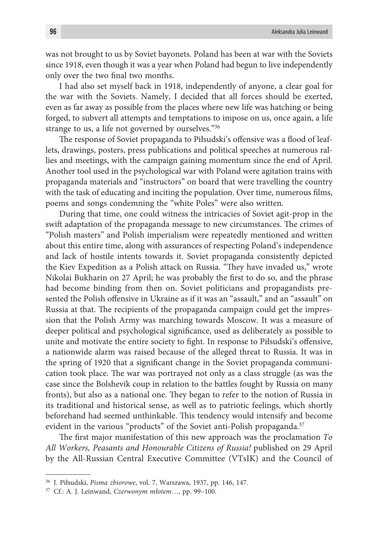was not brought to us by Soviet bayonets. Poland has been at war with the Soviets since 1918, even though it was a year when Poland had begun to live independently only over the two final two months.

I had also set myself back in 1918, independently of anyone, a clear goal for the war with the Soviets. Namely, I decided that all forces should be exerted, even as far away as possible from the places where new life was hatching or being forged, to subvert all attempts and temptations to impose on us, once again, a life strange to us, a life not governed by ourselves."36

The response of Soviet propaganda to Piłsudski's offensive was a flood of leaflets, drawings, posters, press publications and political speeches at numerous rallies and meetings, with the campaign gaining momentum since the end of April. Another tool used in the psychological war with Poland were agitation trains with propaganda materials and "instructors" on board that were travelling the country with the task of educating and inciting the population. Over time, numerous films, poems and songs condemning the "white Poles" were also written.

During that time, one could witness the intricacies of Soviet agit-prop in the swift adaptation of the propaganda message to new circumstances. The crimes of "Polish masters" and Polish imperialism were repeatedly mentioned and written about this entire time, along with assurances of respecting Poland's independence and lack of hostile intents towards it. Soviet propaganda consistently depicted the Kiev Expedition as a Polish attack on Russia. "They have invaded us," wrote Nikolai Bukharin on 27 April; he was probably the first to do so, and the phrase had become binding from then on. Soviet politicians and propagandists presented the Polish offensive in Ukraine as if it was an "assault," and an "assault" on Russia at that. The recipients of the propaganda campaign could get the impression that the Polish Army was marching towards Moscow. It was a measure of deeper political and psychological significance, used as deliberately as possible to unite and motivate the entire society to fight. In response to Piłsudski's offensive, a nationwide alarm was raised because of the alleged threat to Russia. It was in the spring of 1920 that a significant change in the Soviet propaganda communication took place. The war was portrayed not only as a class struggle (as was the case since the Bolshevik coup in relation to the battles fought by Russia on many fronts), but also as a national one. They began to refer to the notion of Russia in its traditional and historical sense, as well as to patriotic feelings, which shortly beforehand had seemed unthinkable. This tendency would intensify and become evident in the various "products" of the Soviet anti-Polish propaganda.<sup>37</sup>

The first major manifestation of this new approach was the proclamation *To All Workers, Peasants and Honourable Citizens of Russia!* published on 29 April by the All-Russian Central Executive Committee (VTsIK) and the Council of

<sup>36</sup> J. Piłsudski, *Pisma zbiorowe*, vol. 7, Warszawa, 1937, pp. 146, 147.

<sup>37</sup> Cf.: A. J. Leinwand, *Czerwonym młotem*…, pp. 99–100.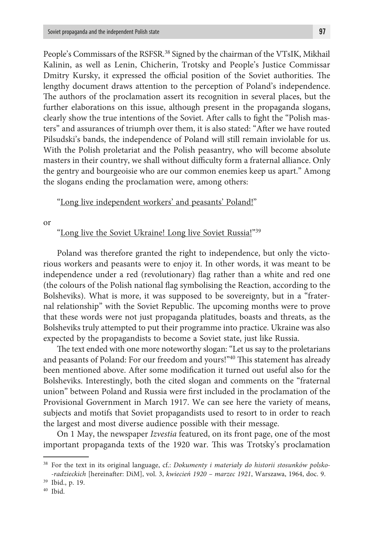People's Commissars of the RSFSR.<sup>38</sup> Signed by the chairman of the VTsIK, Mikhail Kalinin, as well as Lenin, Chicherin, Trotsky and People's Justice Commissar Dmitry Kursky, it expressed the official position of the Soviet authorities. The lengthy document draws attention to the perception of Poland's independence. The authors of the proclamation assert its recognition in several places, but the further elaborations on this issue, although present in the propaganda slogans, clearly show the true intentions of the Soviet. After calls to fight the "Polish masters" and assurances of triumph over them, it is also stated: "After we have routed Pilsudski's bands, the independence of Poland will still remain inviolable for us. With the Polish proletariat and the Polish peasantry, who will become absolute masters in their country, we shall without difficulty form a fraternal alliance. Only the gentry and bourgeoisie who are our common enemies keep us apart." Among the slogans ending the proclamation were, among others:

### "Long live independent workers' and peasants' Poland!"

or

"Long live the Soviet Ukraine! Long live Soviet Russia!"<sup>39</sup>

Poland was therefore granted the right to independence, but only the victorious workers and peasants were to enjoy it. In other words, it was meant to be independence under a red (revolutionary) flag rather than a white and red one (the colours of the Polish national flag symbolising the Reaction, according to the Bolsheviks). What is more, it was supposed to be sovereignty, but in a "fraternal relationship" with the Soviet Republic. The upcoming months were to prove that these words were not just propaganda platitudes, boasts and threats, as the Bolsheviks truly attempted to put their programme into practice. Ukraine was also expected by the propagandists to become a Soviet state, just like Russia.

The text ended with one more noteworthy slogan: "Let us say to the proletarians and peasants of Poland: For our freedom and yours!"40 This statement has already been mentioned above. After some modification it turned out useful also for the Bolsheviks. Interestingly, both the cited slogan and comments on the "fraternal union" between Poland and Russia were first included in the proclamation of the Provisional Government in March 1917. We can see here the variety of means, subjects and motifs that Soviet propagandists used to resort to in order to reach the largest and most diverse audience possible with their message.

On 1 May, the newspaper *Izvestia* featured, on its front page, one of the most important propaganda texts of the 1920 war. This was Trotsky's proclamation

<sup>38</sup> For the text in its original language, cf.: *Dokumenty i materiały do historii stosunków polsko- -radzieckich* [hereinafter: DiM], vol. 3, *kwiecień 1920 – marzec 1921*, Warszawa, 1964, doc. 9.

<sup>39</sup> Ibid., p. 19.

<sup>40</sup> Ibid.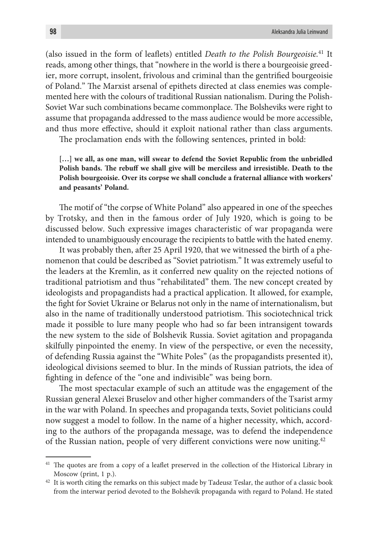(also issued in the form of leaflets) entitled *Death to the Polish Bourgeoisie.*41 It reads, among other things, that "nowhere in the world is there a bourgeoisie greedier, more corrupt, insolent, frivolous and criminal than the gentrified bourgeoisie of Poland." The Marxist arsenal of epithets directed at class enemies was complemented here with the colours of traditional Russian nationalism. During the Polish-Soviet War such combinations became commonplace. The Bolsheviks were right to assume that propaganda addressed to the mass audience would be more accessible, and thus more effective, should it exploit national rather than class arguments.

The proclamation ends with the following sentences, printed in bold:

**[…] we all, as one man, will swear to defend the Soviet Republic from the unbridled Polish bands. The rebuff we shall give will be merciless and irresistible. Death to the Polish bourgeoisie. Over its corpse we shall conclude a fraternal alliance with workers' and peasants' Poland.**

The motif of "the corpse of White Poland" also appeared in one of the speeches by Trotsky, and then in the famous order of July 1920, which is going to be discussed below. Such expressive images characteristic of war propaganda were intended to unambiguously encourage the recipients to battle with the hated enemy.

It was probably then, after 25 April 1920, that we witnessed the birth of a phenomenon that could be described as "Soviet patriotism." It was extremely useful to the leaders at the Kremlin, as it conferred new quality on the rejected notions of traditional patriotism and thus "rehabilitated" them. The new concept created by ideologists and propagandists had a practical application. It allowed, for example, the fight for Soviet Ukraine or Belarus not only in the name of internationalism, but also in the name of traditionally understood patriotism. This sociotechnical trick made it possible to lure many people who had so far been intransigent towards the new system to the side of Bolshevik Russia. Soviet agitation and propaganda skilfully pinpointed the enemy. In view of the perspective, or even the necessity, of defending Russia against the "White Poles" (as the propagandists presented it), ideological divisions seemed to blur. In the minds of Russian patriots, the idea of fighting in defence of the "one and indivisible" was being born.

The most spectacular example of such an attitude was the engagement of the Russian general Alexei Bruselov and other higher commanders of the Tsarist army in the war with Poland. In speeches and propaganda texts, Soviet politicians could now suggest a model to follow. In the name of a higher necessity, which, according to the authors of the propaganda message, was to defend the independence of the Russian nation, people of very different convictions were now uniting.42

<sup>&</sup>lt;sup>41</sup> The quotes are from a copy of a leaflet preserved in the collection of the Historical Library in Moscow (print, 1 p.).

<sup>&</sup>lt;sup>42</sup> It is worth citing the remarks on this subject made by Tadeusz Teslar, the author of a classic book from the interwar period devoted to the Bolshevik propaganda with regard to Poland. He stated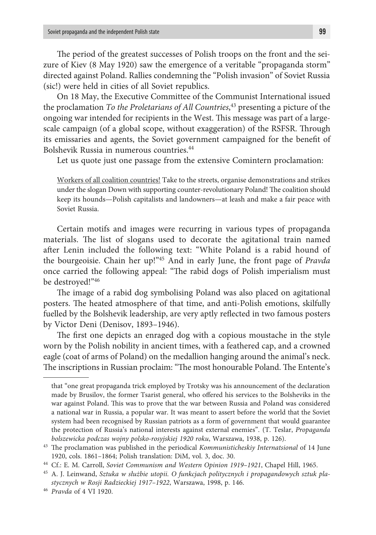The period of the greatest successes of Polish troops on the front and the seizure of Kiev (8 May 1920) saw the emergence of a veritable "propaganda storm" directed against Poland. Rallies condemning the "Polish invasion" of Soviet Russia (sic!) were held in cities of all Soviet republics.

On 18 May, the Executive Committee of the Communist International issued the proclamation *To the Proletarians of All Countries*, 43 presenting a picture of the ongoing war intended for recipients in the West. This message was part of a largescale campaign (of a global scope, without exaggeration) of the RSFSR. Through its emissaries and agents, the Soviet government campaigned for the benefit of Bolshevik Russia in numerous countries.44

Let us quote just one passage from the extensive Comintern proclamation:

Workers of all coalition countries! Take to the streets, organise demonstrations and strikes under the slogan Down with supporting counter-revolutionary Poland! The coalition should keep its hounds—Polish capitalists and landowners—at leash and make a fair peace with Soviet Russia.

Certain motifs and images were recurring in various types of propaganda materials. The list of slogans used to decorate the agitational train named after Lenin included the following text: "White Poland is a rabid hound of the bourgeoisie. Chain her up!"45 And in early June, the front page of *Pravda* once carried the following appeal: "The rabid dogs of Polish imperialism must be destroyed!"46

The image of a rabid dog symbolising Poland was also placed on agitational posters. The heated atmosphere of that time, and anti-Polish emotions, skilfully fuelled by the Bolshevik leadership, are very aptly reflected in two famous posters by Victor Deni (Denisov, 1893–1946).

The first one depicts an enraged dog with a copious moustache in the style worn by the Polish nobility in ancient times, with a feathered cap, and a crowned eagle (coat of arms of Poland) on the medallion hanging around the animal's neck. The inscriptions in Russian proclaim: "The most honourable Poland. The Entente's

that "one great propaganda trick employed by Trotsky was his announcement of the declaration made by Brusilov, the former Tsarist general, who offered his services to the Bolsheviks in the war against Poland. This was to prove that the war between Russia and Poland was considered a national war in Russia, a popular war. It was meant to assert before the world that the Soviet system had been recognised by Russian patriots as a form of government that would guarantee the protection of Russia's national interests against external enemies". (T. Teslar, *Propaganda* 

*bolszewicka podczas wojny polsko-rosyjskiej 1920 roku*, Warszawa, 1938, p. 126). 43 The proclamation was published in the periodical *Kommunisticheskiy Internatsional* of 14 June 1920, cols. 1861–1864; Polish translation: DiM, vol. 3, doc. 30.

<sup>44</sup> Cf.: E. M. Carroll, *Soviet Communism and Western Opinion 1919–1921*, Chapel Hill, 1965.

<sup>45</sup> A. J. Leinwand, *Sztuka w służbie utopii. O funkcjach politycznych i propagandowych sztuk plastycznych w Rosji Radzieckiej 1917–1922*, Warszawa, 1998, p. 146.

<sup>46</sup> *Pravda* of 4 VI 1920.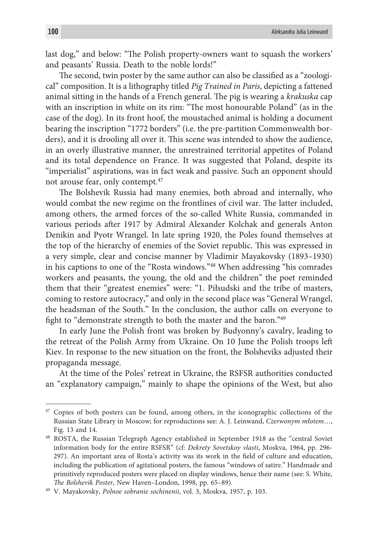last dog," and below: "The Polish property-owners want to squash the workers' and peasants' Russia. Death to the noble lords!"

The second, twin poster by the same author can also be classified as a "zoological" composition. It is a lithography titled *Pig Trained in Paris*, depicting a fattened animal sitting in the hands of a French general. The pig is wearing a *krakuska* cap with an inscription in white on its rim: "The most honourable Poland" (as in the case of the dog). In its front hoof, the moustached animal is holding a document bearing the inscription "1772 borders" (i.e. the pre-partition Commonwealth borders), and it is drooling all over it. This scene was intended to show the audience, in an overly illustrative manner, the unrestrained territorial appetites of Poland and its total dependence on France. It was suggested that Poland, despite its "imperialist" aspirations, was in fact weak and passive. Such an opponent should not arouse fear, only contempt.<sup>47</sup>

The Bolshevik Russia had many enemies, both abroad and internally, who would combat the new regime on the frontlines of civil war. The latter included, among others, the armed forces of the so-called White Russia, commanded in various periods after 1917 by Admiral Alexander Kolchak and generals Anton Denikin and Pyotr Wrangel. In late spring 1920, the Poles found themselves at the top of the hierarchy of enemies of the Soviet republic. This was expressed in a very simple, clear and concise manner by Vladimir Mayakovsky (1893–1930) in his captions to one of the "Rosta windows."48 When addressing "his comrades workers and peasants, the young, the old and the children" the poet reminded them that their "greatest enemies" were: "1. Piłsudski and the tribe of masters, coming to restore autocracy," and only in the second place was "General Wrangel, the headsman of the South." In the conclusion, the author calls on everyone to fight to "demonstrate strength to both the master and the baron."49

In early June the Polish front was broken by Budyonny's cavalry, leading to the retreat of the Polish Army from Ukraine. On 10 June the Polish troops left Kiev. In response to the new situation on the front, the Bolsheviks adjusted their propaganda message.

At the time of the Poles' retreat in Ukraine, the RSFSR authorities conducted an "explanatory campaign," mainly to shape the opinions of the West, but also

<sup>&</sup>lt;sup>47</sup> Copies of both posters can be found, among others, in the iconographic collections of the Russian State Library in Moscow; for reproductions see: A. J. Leinwand, *Czerwonym młotem*…, Fig. 13 and 14.

<sup>48</sup> ROSTA, the Russian Telegraph Agency established in September 1918 as the "central Soviet information body for the entire RSFSR" (cf: *Dekrety Sovetskoy vlasti*, Moskva, 1964, pp. 296- 297). An important area of Rosta's activity was its work in the field of culture and education, including the publication of agitational posters, the famous "windows of satire." Handmade and primitively reproduced posters were placed on display windows, hence their name (see: S. White, *The Bolshevik Poster*, New Haven–London, 1998, pp. 65–89). 49 V. Mayakovsky, *Polnoe sobranie sochinenii*, vol. 3, Moskva, 1957, p. 103.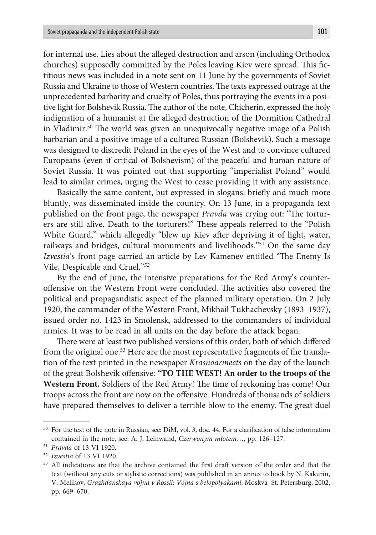for internal use. Lies about the alleged destruction and arson (including Orthodox churches) supposedly committed by the Poles leaving Kiev were spread. This fictitious news was included in a note sent on 11 June by the governments of Soviet Russia and Ukraine to those of Western countries. The texts expressed outrage at the unprecedented barbarity and cruelty of Poles, thus portraying the events in a positive light for Bolshevik Russia. The author of the note, Chicherin, expressed the holy indignation of a humanist at the alleged destruction of the Dormition Cathedral in Vladimir.50 The world was given an unequivocally negative image of a Polish barbarian and a positive image of a cultured Russian (Bolshevik). Such a message was designed to discredit Poland in the eyes of the West and to convince cultured Europeans (even if critical of Bolshevism) of the peaceful and human nature of Soviet Russia. It was pointed out that supporting "imperialist Poland" would lead to similar crimes, urging the West to cease providing it with any assistance.

Basically the same content, but expressed in slogans: briefly and much more bluntly, was disseminated inside the country. On 13 June, in a propaganda text published on the front page, the newspaper *Pravda* was crying out: "The torturers are still alive. Death to the torturers!" These appeals referred to the "Polish White Guard," which allegedly "blew up Kiev after depriving it of light, water, railways and bridges, cultural monuments and livelihoods."51 On the same day *Izvestia*'s front page carried an article by Lev Kamenev entitled "The Enemy Is Vile, Despicable and Cruel."*<sup>52</sup>*

By the end of June, the intensive preparations for the Red Army's counteroffensive on the Western Front were concluded. The activities also covered the political and propagandistic aspect of the planned military operation. On 2 July 1920, the commander of the Western Front, Mikhail Tukhachevsky (1893–1937), issued order no. 1423 in Smolensk, addressed to the commanders of individual armies. It was to be read in all units on the day before the attack began.

There were at least two published versions of this order, both of which differed from the original one.53 Here are the most representative fragments of the translation of the text printed in the newspaper *Krasnoarmeets* on the day of the launch of the great Bolshevik offensive: **"TO THE WEST! An order to the troops of the Western Front.** Soldiers of the Red Army! The time of reckoning has come! Our troops across the front are now on the offensive. Hundreds of thousands of soldiers have prepared themselves to deliver a terrible blow to the enemy. The great duel

<sup>50</sup> For the text of the note in Russian, see: DiM, vol. 3, doc. 44. For a clarification of false information contained in the note, see: A. J. Leinwand, *Czerwonym młotem*…, pp. 126–127. 51 *Pravda* of 13 VI 1920.

<sup>52</sup> *Izvestia* of 13 VI 1920.

<sup>53</sup> All indications are that the archive contained the first draft version of the order and that the text (without any cuts or stylistic corrections) was published in an annex to book by N. Kakurin, V. Melikov, *Grazhdanskaya vojna v Rossii: Vojna s belopolyakami*, Moskva–St. Petersburg, 2002, pp. 669–670.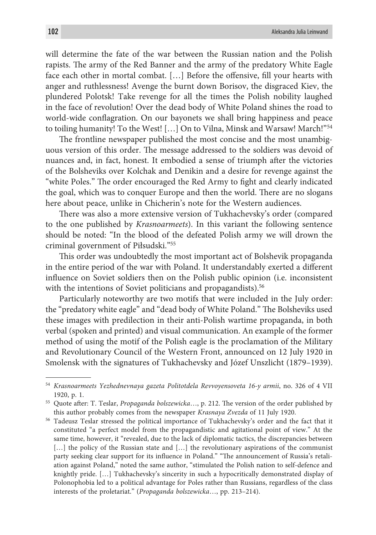will determine the fate of the war between the Russian nation and the Polish rapists. The army of the Red Banner and the army of the predatory White Eagle face each other in mortal combat. […] Before the offensive, fill your hearts with anger and ruthlessness! Avenge the burnt down Borisov, the disgraced Kiev, the plundered Polotsk! Take revenge for all the times the Polish nobility laughed in the face of revolution! Over the dead body of White Poland shines the road to world-wide conflagration. On our bayonets we shall bring happiness and peace to toiling humanity! To the West! […] On to Vilna, Minsk and Warsaw! March!"54

The frontline newspaper published the most concise and the most unambiguous version of this order. The message addressed to the soldiers was devoid of nuances and, in fact, honest. It embodied a sense of triumph after the victories of the Bolsheviks over Kolchak and Denikin and a desire for revenge against the "white Poles." The order encouraged the Red Army to fight and clearly indicated the goal, which was to conquer Europe and then the world. There are no slogans here about peace, unlike in Chicherin's note for the Western audiences.

There was also a more extensive version of Tukhachevsky's order (compared to the one published by *Krasnoarmeets*). In this variant the following sentence should be noted: "In the blood of the defeated Polish army we will drown the criminal government of Piłsudski."55

This order was undoubtedly the most important act of Bolshevik propaganda in the entire period of the war with Poland. It understandably exerted a different influence on Soviet soldiers then on the Polish public opinion (i.e. inconsistent with the intentions of Soviet politicians and propagandists).<sup>56</sup>

Particularly noteworthy are two motifs that were included in the July order: the "predatory white eagle" and "dead body of White Poland." The Bolsheviks used these images with predilection in their anti-Polish wartime propaganda, in both verbal (spoken and printed) and visual communication. An example of the former method of using the motif of the Polish eagle is the proclamation of the Military and Revolutionary Council of the Western Front, announced on 12 July 1920 in Smolensk with the signatures of Tukhachevsky and Józef Unszlicht (1879–1939).

<sup>54</sup> *Krasnoarmeets Yezhednevnaya gazeta Politotdela Revvoyensoveta 16-y armii*, no. 326 of 4 VII 1920, p. 1.

<sup>55</sup> Quote after: T. Teslar, *Propaganda bolszewicka*…, p. 212. The version of the order published by this author probably comes from the newspaper *Krasnaya Zvezda* of 11 July 1920.

<sup>56</sup> Tadeusz Teslar stressed the political importance of Tukhachevsky's order and the fact that it constituted "a perfect model from the propagandistic and agitational point of view." At the same time, however, it "revealed, due to the lack of diplomatic tactics, the discrepancies between […] the policy of the Russian state and […] the revolutionary aspirations of the communist party seeking clear support for its influence in Poland." "The announcement of Russia's retaliation against Poland," noted the same author, "stimulated the Polish nation to self-defence and knightly pride. […] Tukhachevsky's sincerity in such a hypocritically demonstrated display of Polonophobia led to a political advantage for Poles rather than Russians, regardless of the class interests of the proletariat." (*Propaganda bolszewicka*…, pp. 213–214).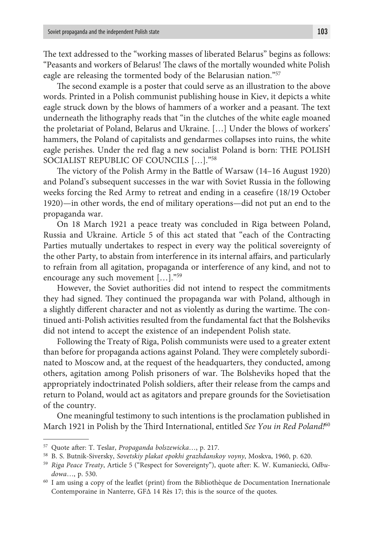The text addressed to the "working masses of liberated Belarus" begins as follows: "Peasants and workers of Belarus! The claws of the mortally wounded white Polish eagle are releasing the tormented body of the Belarusian nation."57

The second example is a poster that could serve as an illustration to the above words. Printed in a Polish communist publishing house in Kiev, it depicts a white eagle struck down by the blows of hammers of a worker and a peasant. The text underneath the lithography reads that "in the clutches of the white eagle moaned the proletariat of Poland, Belarus and Ukraine. […] Under the blows of workers' hammers, the Poland of capitalists and gendarmes collapses into ruins, the white eagle perishes. Under the red flag a new socialist Poland is born: THE POLISH SOCIALIST REPUBLIC OF COUNCILS […]."58

The victory of the Polish Army in the Battle of Warsaw (14–16 August 1920) and Poland's subsequent successes in the war with Soviet Russia in the following weeks forcing the Red Army to retreat and ending in a ceasefire (18/19 October 1920)—in other words, the end of military operations—did not put an end to the propaganda war.

On 18 March 1921 a peace treaty was concluded in Riga between Poland, Russia and Ukraine. Article 5 of this act stated that "each of the Contracting Parties mutually undertakes to respect in every way the political sovereignty of the other Party, to abstain from interference in its internal affairs, and particularly to refrain from all agitation, propaganda or interference of any kind, and not to encourage any such movement […]."59

However, the Soviet authorities did not intend to respect the commitments they had signed. They continued the propaganda war with Poland, although in a slightly different character and not as violently as during the wartime. The continued anti-Polish activities resulted from the fundamental fact that the Bolsheviks did not intend to accept the existence of an independent Polish state.

Following the Treaty of Riga, Polish communists were used to a greater extent than before for propaganda actions against Poland. They were completely subordinated to Moscow and, at the request of the headquarters, they conducted, among others, agitation among Polish prisoners of war. The Bolsheviks hoped that the appropriately indoctrinated Polish soldiers, after their release from the camps and return to Poland, would act as agitators and prepare grounds for the Sovietisation of the country.

One meaningful testimony to such intentions is the proclamation published in March 1921 in Polish by the Third International, entitled *See You in Red Poland!*<sup>60</sup>

<sup>57</sup> Quote after: T. Teslar, *Propaganda bolszewicka*…, p. 217.

<sup>58</sup> B. S. Butnik-Siversky, *Sovetskiy plakat epokhi grazhdanskoy voyny*, Moskva, 1960, p. 620. 59 *Riga Peace Treaty*, Article 5 ("Respect for Sovereignty"), quote after: K. W. Kumaniecki, *Odbu-*

*dowa*…, p. 530. *dowa* is possed as a copy of the leaflet (print) from the Bibliothèque de Documentation Inernationale

Contemporaine in Nanterre, GFΔ 14 Rès 17; this is the source of the quotes.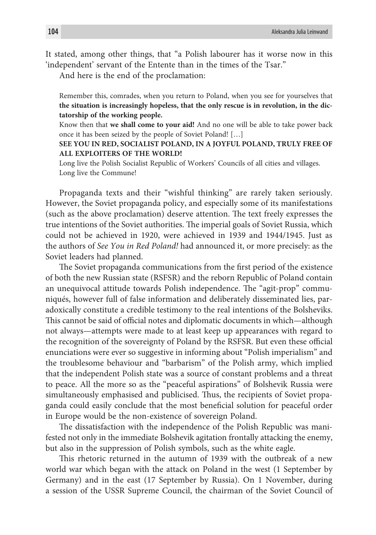It stated, among other things, that "a Polish labourer has it worse now in this 'independent' servant of the Entente than in the times of the Tsar."

And here is the end of the proclamation:

Remember this, comrades, when you return to Poland, when you see for yourselves that **the situation is increasingly hopeless, that the only rescue is in revolution, in the dictatorship of the working people.**

Know then that **we shall come to your aid!** And no one will be able to take power back once it has been seized by the people of Soviet Poland! […]

### **SEE YOU IN RED, SOCIALIST POLAND, IN A JOYFUL POLAND, TRULY FREE OF ALL EXPLOITERS OF THE WORLD!**

Long live the Polish Socialist Republic of Workers' Councils of all cities and villages. Long live the Commune!

Propaganda texts and their "wishful thinking" are rarely taken seriously. However, the Soviet propaganda policy, and especially some of its manifestations (such as the above proclamation) deserve attention. The text freely expresses the true intentions of the Soviet authorities. The imperial goals of Soviet Russia, which could not be achieved in 1920, were achieved in 1939 and 1944/1945. Just as the authors of *See You in Red Poland!* had announced it, or more precisely: as the Soviet leaders had planned.

The Soviet propaganda communications from the first period of the existence of both the new Russian state (RSFSR) and the reborn Republic of Poland contain an unequivocal attitude towards Polish independence. The "agit-prop" communiqués, however full of false information and deliberately disseminated lies, paradoxically constitute a credible testimony to the real intentions of the Bolsheviks. This cannot be said of official notes and diplomatic documents in which—although not always—attempts were made to at least keep up appearances with regard to the recognition of the sovereignty of Poland by the RSFSR. But even these official enunciations were ever so suggestive in informing about "Polish imperialism" and the troublesome behaviour and "barbarism" of the Polish army, which implied that the independent Polish state was a source of constant problems and a threat to peace. All the more so as the "peaceful aspirations" of Bolshevik Russia were simultaneously emphasised and publicised. Thus, the recipients of Soviet propaganda could easily conclude that the most beneficial solution for peaceful order in Europe would be the non-existence of sovereign Poland.

The dissatisfaction with the independence of the Polish Republic was manifested not only in the immediate Bolshevik agitation frontally attacking the enemy, but also in the suppression of Polish symbols, such as the white eagle.

This rhetoric returned in the autumn of 1939 with the outbreak of a new world war which began with the attack on Poland in the west (1 September by Germany) and in the east (17 September by Russia). On 1 November, during a session of the USSR Supreme Council, the chairman of the Soviet Council of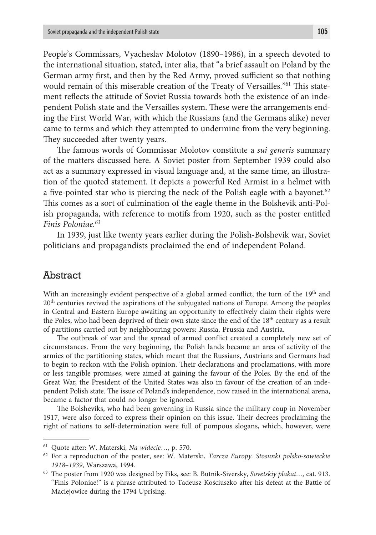People's Commissars, Vyacheslav Molotov (1890–1986), in a speech devoted to the international situation, stated, inter alia, that "a brief assault on Poland by the German army first, and then by the Red Army, proved sufficient so that nothing would remain of this miserable creation of the Treaty of Versailles."61 This statement reflects the attitude of Soviet Russia towards both the existence of an independent Polish state and the Versailles system. These were the arrangements ending the First World War, with which the Russians (and the Germans alike) never came to terms and which they attempted to undermine from the very beginning. They succeeded after twenty years.

The famous words of Commissar Molotov constitute a *sui generis* summary of the matters discussed here. A Soviet poster from September 1939 could also act as a summary expressed in visual language and, at the same time, an illustration of the quoted statement. It depicts a powerful Red Armist in a helmet with a five-pointed star who is piercing the neck of the Polish eagle with a bayonet.<sup>62</sup> This comes as a sort of culmination of the eagle theme in the Bolshevik anti-Polish propaganda, with reference to motifs from 1920, such as the poster entitled *Finis Poloniae.63*

In 1939, just like twenty years earlier during the Polish-Bolshevik war, Soviet politicians and propagandists proclaimed the end of independent Poland.

## Abstract

With an increasingly evident perspective of a global armed conflict, the turn of the  $19<sup>th</sup>$  and 20<sup>th</sup> centuries revived the aspirations of the subjugated nations of Europe. Among the peoples in Central and Eastern Europe awaiting an opportunity to effectively claim their rights were the Poles, who had been deprived of their own state since the end of the  $18<sup>th</sup>$  century as a result of partitions carried out by neighbouring powers: Russia, Prussia and Austria.

The outbreak of war and the spread of armed conflict created a completely new set of circumstances. From the very beginning, the Polish lands became an area of activity of the armies of the partitioning states, which meant that the Russians, Austrians and Germans had to begin to reckon with the Polish opinion. Their declarations and proclamations, with more or less tangible promises, were aimed at gaining the favour of the Poles. By the end of the Great War, the President of the United States was also in favour of the creation of an independent Polish state. The issue of Poland's independence, now raised in the international arena, became a factor that could no longer be ignored.

The Bolsheviks, who had been governing in Russia since the military coup in November 1917, were also forced to express their opinion on this issue. Their decrees proclaiming the right of nations to self-determination were full of pompous slogans, which, however, were

<sup>61</sup> Quote after: W. Materski, *Na widecie*…, p. 570.

<sup>62</sup> For a reproduction of the poster, see: W. Materski, *Tarcza Europy. Stosunki polsko-sowieckie 1918–1939*, Warszawa, 1994.

<sup>63</sup> The poster from 1920 was designed by Fiks, see: B. Butnik-Siversky, *Sovetskiy plakat…,* cat. 913. "Finis Poloniae!" is a phrase attributed to Tadeusz Kościuszko after his defeat at the Battle of Maciejowice during the 1794 Uprising.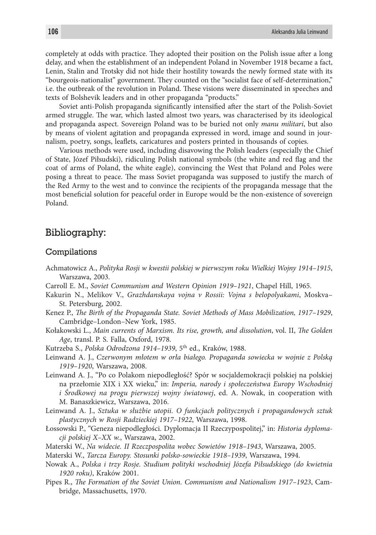completely at odds with practice. They adopted their position on the Polish issue after a long delay, and when the establishment of an independent Poland in November 1918 became a fact, Lenin, Stalin and Trotsky did not hide their hostility towards the newly formed state with its "bourgeois-nationalist" government. They counted on the "socialist face of self-determination," i.e. the outbreak of the revolution in Poland. These visions were disseminated in speeches and texts of Bolshevik leaders and in other propaganda "products."

Soviet anti-Polish propaganda significantly intensified after the start of the Polish-Soviet armed struggle. The war, which lasted almost two years, was characterised by its ideological and propaganda aspect. Sovereign Poland was to be buried not only *manu militari*, but also by means of violent agitation and propaganda expressed in word, image and sound in journalism, poetry, songs, leaflets, caricatures and posters printed in thousands of copies.

Various methods were used, including disavowing the Polish leaders (especially the Chief of State, Józef Piłsudski), ridiculing Polish national symbols (the white and red flag and the coat of arms of Poland, the white eagle), convincing the West that Poland and Poles were posing a threat to peace. The mass Soviet propaganda was supposed to justify the march of the Red Army to the west and to convince the recipients of the propaganda message that the most beneficial solution for peaceful order in Europe would be the non-existence of sovereign Poland.

### Bibliography:

#### Compilations

- Achmatowicz A., *Polityka Rosji w kwestii polskiej w pierwszym roku Wielkiej Wojny 1914–1915*, Warszawa, 2003.
- Carroll E. M., *Soviet Communism and Western Opinion 1919–1921*, Chapel Hill, 1965.
- Kakurin N., Melikov V., *Grazhdanskaya vojna v Rossii: Vojna s belopolyakami*, Moskva– St. Petersburg, 2002.
- Kenez P., *The Birth of the Propaganda State. Soviet Methods of Mass Mobilization, 1917–1929*, Cambridge–London–New York, 1985.
- Kołakowski L., *Main currents of Marxism. Its rise, growth, and dissolution*, vol. II, *The Golden Age*, transl. P. S. Falla, Oxford, 1978.
- Kutrzeba S., *Polska Odrodzona 1914–1939*, 5th ed., Kraków, 1988.
- Leinwand A. J., *Czerwonym młotem w orła białego. Propaganda sowiecka w wojnie z Polską 1919–1920*, Warszawa, 2008.
- Leinwand A. J., "Po co Polakom niepodległość? Spór w socjaldemokracji polskiej na polskiej na przełomie XIX i XX wieku," in: *Imperia, narody i społeczeństwa Europy Wschodniej i Środkowej na progu pierwszej wojny światowej*, ed. A. Nowak, in cooperation with M. Banaszkiewicz, Warszawa, 2016.
- Leinwand A. J., *Sztuka w służbie utopii. O funkcjach politycznych i propagandowych sztuk plastycznych w Rosji Radzieckiej 1917–1922*, Warszawa, 1998.
- Łossowski P., "Geneza niepodległości. Dyplomacja II Rzeczypospolitej," in: *Historia dyplomacji polskiej X–XX w.*, Warszawa, 2002.
- Materski W., *Na widecie. II Rzeczpospolita wobec Sowietów 1918–1943*, Warszawa, 2005.
- Materski W., *Tarcza Europy. Stosunki polsko-sowieckie 1918–1939*, Warszawa, 1994.
- Nowak A., *Polska i trzy Rosje. Studium polityki wschodniej Józefa Piłsudskiego (do kwietnia 1920 roku)*, Kraków 2001.
- Pipes R., *The Formation of the Soviet Union. Communism and Nationalism 1917–1923*, Cambridge, Massachusetts, 1970.